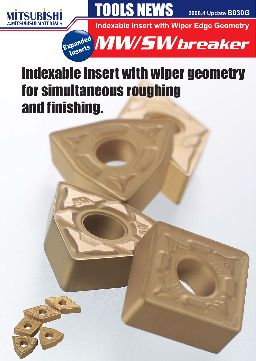



**B030G 2008.4 Update**

**Indexable Insert with Wiper Edge Geometry**



# Indexable insert with wiper geometry for simultaneous roughing and finishing.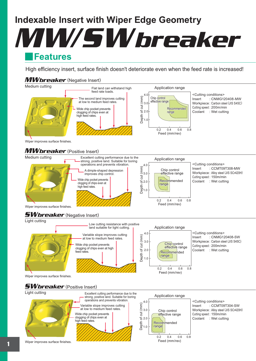# **Indexable Insert with Wiper Edge Geometry**

# **Features** MW/SWbreaker

High efficiency insert, surface finish doesn't deteriorate even when the feed rate is increased!

# **MWbreaker** (Negative Insert)



Wiper improves surface finishes.

# **MWbreaker** (Positive Insert)



# **SWbreaker** (Negative Insert)



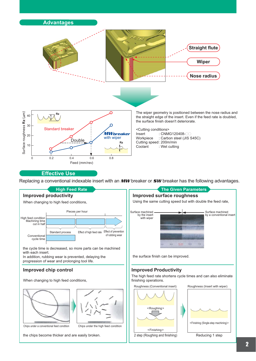

#### **Effective Use**

Replacing a conventional indexable insert with an **MW** breaker or **SW** breaker has the following advantages.

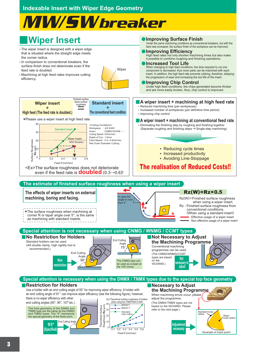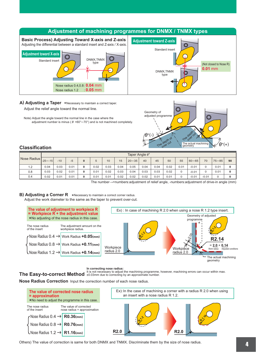### **Adjustment of machining programmes for DNMX / TNMX types**



Adjust the relief angle toward the normal line. A) Adjusting a Taper \*Necessary to maintain a correct taper.

Note) Adjust the angle toward the normal line in the case where the adjustment number is minus ( $\theta = 60^{\circ} - 70^{\circ}$ ) and is not machined completely.



#### **Classification**

|             |             |       |      |   |      |      |      |           | Taper Angle $\theta^{\circ}$ |      |      |      |           |         |           |    |
|-------------|-------------|-------|------|---|------|------|------|-----------|------------------------------|------|------|------|-----------|---------|-----------|----|
| Nose Radius | $-25 - -15$ | $-10$ | $-5$ | 0 | 5    | 10   | 15   | $20 - 35$ | 40                           | 45   | 50   | 55   | $60 - 65$ | 70      | $75 - 85$ | 90 |
| 1.2         | 0.04        | 0.03  | 0.01 | 0 | 0.02 | 0.03 | 0.04 | 0.05      | 0.04                         | 0.04 | 0.02 | 0.01 | $-0.01$   | 0       | 0.01      | 0  |
| 0.8         | 0.03        | 0.02  | 0.01 | 0 | 0.01 | 0.02 | 0.03 | 0.04      | 0.03                         | 0.03 | 0.02 |      | $-0.01$   | 0       | 0.01      | 0  |
| 0.4         | 0.02        | 0.01  | 0.01 | 0 | 0.01 | 0.01 | 0.02 | 0.02      | 0.02                         | 0.01 | 0.01 |      | $-0.01$   | $-0.01$ | 0         | 0  |

The number→+numbers:adjustment of relief angle, -numbers:adjustment of drive-in angle (mm)

**B) Adjusting a Corner R** \*Necessary to maintain a correct corner radius. Adjust the work diameter to the same as the taper to prevent over-cut.



**In correcting nose radius:**

**The Easy-to-correct Method** It is not necessary to adjust the machining programme, however, machining errors can occur within max.<br>The Easy-to-correct Method ±0.03mm due to correcting by an approximate number.

**Nose Radius Correction** Input the correction number of each nose radius.



Others) The value of correction is same for both DNMX and TNMX. Discriminate them by the size of nose radius.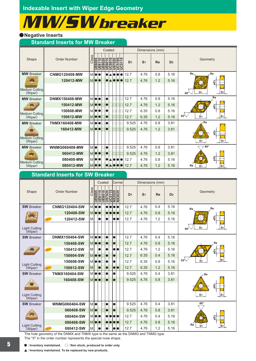# MW/SWbreaker

## a**Negative Inserts**

#### **Standard Inserts for MW Breaker**

|                                  |                      |                              |               |               | Coated                     |       |           |              |                | Dimensions (mm) |     |                |                                                |
|----------------------------------|----------------------|------------------------------|---------------|---------------|----------------------------|-------|-----------|--------------|----------------|-----------------|-----|----------------|------------------------------------------------|
| Shape                            | Order Number         | Class                        | <b>UE6005</b> | <b>UE6110</b> | 6020<br><b>JE6010</b><br>回 | C6010 | 7020<br>S | 5105<br>5115 | D <sub>1</sub> | S <sub>1</sub>  | Re  | D <sub>2</sub> | Geometry                                       |
| <b>MW</b> Breaker                | <b>CNMG120408-MW</b> | M $\bullet$                  |               | r             |                            |       |           |              | 12.7           | 4.76            | 0.8 | 5.16           | Re<br>∕Re                                      |
|                                  | 120412-MW            | $\mathsf{M} \bullet \bullet$ |               |               |                            |       |           |              | 12.7           | 4.76            | 1.2 | 5.16           | eD <sub>2</sub>                                |
| <b>Medium Cutting</b><br>(Wiper) |                      |                              |               |               |                            |       |           |              |                |                 |     |                | D <sub>1</sub><br>S <sub>1</sub><br>$80^\circ$ |
| <b>MW</b> Breaker                | <b>DNMX150408-MW</b> | M O                          |               |               |                            |       |           |              | 12.7           | 4.76            | 0.8 | 5.16           | Re                                             |
|                                  | 150412-MW            | M                            |               | 10            |                            |       |           |              | 12.7           | 4.76            | 1.2 | 5.16           | øD <sub>2</sub>                                |
| <b>Medium Cutting</b>            | 150608-MW            | MI <sup>o</sup>              |               |               |                            |       |           |              | 12.7           | 6.35            | 0.8 | 5.16           |                                                |
| (Wiper)                          | 150612-MW            | M                            |               |               |                            |       |           |              | 12.7           | 6.35            | 1.2 | 5.16           | $55^{\circ}$<br>D <sub>1</sub><br>$ S_1 $      |
| <b>MW</b> Breaker                | <b>TNMX160408-MW</b> | M $\bullet$                  |               |               |                            |       |           |              | 9.525          | 4.76            | 0.8 | 3.81           | $\angle$ Re                                    |
|                                  | 160412-MW            | M                            |               |               |                            |       |           |              | 9.525          | 4.76            | 1.2 | 3.81           |                                                |
| <b>Medium Cutting</b><br>(Wiper) |                      |                              |               |               |                            |       |           |              |                |                 |     |                | øD2<br>S <sub>1</sub><br>D <sub>1</sub>        |
| <b>MW</b> Breaker                | <b>WNMG060408-MW</b> | MO                           |               |               |                            |       |           |              | 9.525          | 4.76            | 0.8 | 3.81           | $80^\circ$                                     |
|                                  | 060412-MW            | M                            |               | IC :          |                            |       |           |              | 9.525          | 4.76            | 1.2 | 3.81           |                                                |
| <b>Medium Cutting</b>            | 080408-MW            |                              | MIOO          |               |                            |       |           |              | 12.7           | 4.76            | 0.8 | 5.16           | øDz<br>Ð                                       |
| (Wiper)                          | 080412-MW            | MOO                          |               |               |                            |       |           |              | 12.7           | 4.76            | 1.2 | 5.16           | Re<br>D <sub>1</sub><br>$ S_1 $                |

## **Standard Inserts for SW Breaker**

|                                 |                         |               |               | Coated    |           | Cermet                                                   |                | Dimensions (mm) |           |                |                                                  |
|---------------------------------|-------------------------|---------------|---------------|-----------|-----------|----------------------------------------------------------|----------------|-----------------|-----------|----------------|--------------------------------------------------|
| Shape                           | <b>Order Number</b>     | Class         | <b>UE6005</b> |           |           | UE6110<br>UE6010<br>US7020<br>UC5115<br>UX2525<br>NX3035 | D <sub>1</sub> | S <sub>1</sub>  | <b>Re</b> | D <sub>2</sub> | Geometry                                         |
| <b>SW</b> Breaker               | <b>CNMG120404-SW</b>    |               | MIOO          |           |           |                                                          | 12.7           | 4.76            | 0.4       | 5.16           | Re<br>Re                                         |
|                                 | 120408-SW               | <b>MO</b>     |               |           |           |                                                          | 12.7           | 4.76            | 0.8       | 5.16           |                                                  |
|                                 | 120412-SW<br><b>NEW</b> | M             |               | $\bullet$ | $\bullet$ | $\bullet$                                                | 12.7           | 4.76            | 1.2       | 5.16           | øD <sub>2</sub>                                  |
| <b>Light Cutting</b><br>(Wiper) |                         |               |               |           |           |                                                          |                |                 |           |                | D <sub>1</sub><br>S <sub>1</sub><br>$80^\circ$   |
| <b>SW</b> Breaker               | <b>DNMX150404-SW</b>    | $M$ $\bullet$ |               | lo.       | $\bullet$ |                                                          | 12.7           | 4.76            | 0.4       | 5.16           |                                                  |
|                                 | 150408-SW               |               | Mee           |           |           |                                                          | 12.7           | 4.76            | 0.8       | 5.16           | Re                                               |
|                                 | 150412-SW<br><b>NEW</b> | M             |               |           |           | $\bullet$                                                | 12.7           | 4.76            | 1.2       | 5.16           | Q,                                               |
|                                 | 150604-SW               |               | <b>MOO</b>    |           |           |                                                          | 12.7           | 6.35            | 0.4       | 5.16           |                                                  |
| <b>Light Cutting</b>            | 150608-SW               |               | MIOO          |           |           |                                                          | 12.7           | 6.35            | 0.8       | 5.16           | S <sub>1</sub><br>$55^{\circ}$<br>D <sub>1</sub> |
| (Wiper)                         | 150612-SW<br><b>NEW</b> | M             |               | O         |           | $\bullet$                                                | 12.7           | 6.35            | 1.2       | 5.16           |                                                  |
| <b>SW Breaker</b>               | <b>TNMX160404-SW</b>    | M IO          |               |           |           |                                                          | 9.525          | 4.76            | 0.4       | 3.81           | Re                                               |
|                                 | 160408-SW               |               | MIOO          |           |           |                                                          | 9.525          | 4.76            | 0.8       | 3.81           |                                                  |
|                                 |                         |               |               |           |           |                                                          |                |                 |           |                | øD <sub>2</sub>                                  |
| <b>Light Cutting</b><br>(Wiper) |                         |               |               |           |           |                                                          |                |                 |           |                | D <sub>1</sub><br>S1                             |
| <b>SW</b> Breaker               | <b>WNMG060404-SW</b>    | MO            |               |           | Ò         |                                                          | 9.525          | 4.76            | 0.4       | 3.81           | $80^\circ$                                       |
|                                 | 060408-SW               | M O           |               |           |           |                                                          | 9.525          | 4.76            | 0.8       | 3.81           |                                                  |
|                                 | 080404-SW               |               | MIOO          |           |           |                                                          | 12.7           | 4.76            | 0.4       | 5.16           | øDz<br>$\left(\cdot\right)$                      |
| <b>Light Cutting</b>            | 080408-SW               |               | MIOO          |           |           |                                                          | 12.7           | 4.76            | 0.8       | 5.16           | Re<br>S <sub>1</sub><br>D <sub>1</sub>           |
| (Wiper)                         | 080412-SW<br>NEW        | M             |               |           | $\bullet$ |                                                          | 12.7           | 4.76            | 1.2       | 5.16           |                                                  |

The hole geometry of the DNMX and TNMX type is the same as the DNMG and TNMG type. The "X" in the order number represents the special nose shape.

● : Inventory maintained. □ : Non stock, produced to order only.

[ **: Inventory maintained. To be replaced by new products.**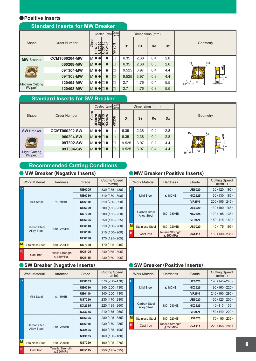#### a**Positive Inserts**

# **Standard Inserts for MW Breaker**

|                   |                      |            |      |                       |   |     | Coated Cermet Coated |                |                | Dimensions (mm) |                |                                                       |
|-------------------|----------------------|------------|------|-----------------------|---|-----|----------------------|----------------|----------------|-----------------|----------------|-------------------------------------------------------|
| Shape             | Order Number         | SS<br>Gä   | 6020 | $\circ$<br>$\epsilon$ | □ | ကြက | VP <sub>25</sub> N   | D <sub>1</sub> | S <sub>1</sub> | <b>Re</b>       | D <sub>2</sub> | Geometry                                              |
| <b>MW</b> Breaker | <b>CCMT060204-MW</b> | MOO        |      |                       |   |     |                      | 6.35           | 2.38           | 0.4             | 2.8            |                                                       |
|                   | 060208-MW            | MOO        |      |                       |   |     |                      | 6.35           | 2.38           | 0.8             | 2.8            | Re<br>Re<br>øD <sub>2</sub>                           |
|                   | 09T304-MW            | IM IO IO   |      |                       |   |     |                      | 9.525          | 3.97           | 0.4             | 4.4            |                                                       |
|                   | 09T308-MW            | MOO        |      |                       |   |     |                      | 9.525          | 3.97           | 0.8             | 4.4            |                                                       |
| Medium Cutting    | 120404-MW            | <b>MOO</b> |      |                       |   | 710 |                      | 12.7           | 4.76           | 0.4             | 5.5            | $\frac{ S_1 }{ S_2 }$<br>D <sub>1</sub><br>$80^\circ$ |
| (Wiper)           | 120408-MW            | MOOI       |      |                       |   |     |                      | 12.7           | 4.76           | 0.8             | 5.5            |                                                       |

# **Standard Inserts for SW Breaker**

|                          |                      |                           |    |        |    |                    | Coated Cermet Coated |                |                | Dimensions (mm) |                |                       |
|--------------------------|----------------------|---------------------------|----|--------|----|--------------------|----------------------|----------------|----------------|-----------------|----------------|-----------------------|
| Shape                    | Order Number         | ass                       | lo | ခြုပါပ |    | VP <sub>25</sub> N |                      | D <sub>1</sub> | S <sub>1</sub> | <b>Re</b>       | D <sub>2</sub> | Geometry              |
| <b>SW</b> Breaker        | <b>CCMT060202-SW</b> | IM OIO                    |    |        |    |                    |                      | 6.35           | 2.38           | 0.2             | 2.8            | Re<br>Re              |
|                          | 060204-SW            | <b>IMOOOO</b>             |    |        |    |                    |                      | 6.35           | 2.38           | 0.4             | 2.8            | øD <sub>2</sub>       |
|                          | 09T302-SW            | $ M  \bullet   \bullet  $ |    |        | ٦O |                    |                      | 9.525          | 3.97           | 0.2             | 4.4            |                       |
|                          | 09T304-SW            | IM OOL                    |    |        | nc |                    |                      | 9.525          | 3.97           | 0.4             | 4.4            | D <sub>1</sub>        |
| Light Cutting<br>(Wiper) |                      |                           |    |        |    |                    |                      |                |                |                 |                | $ S_1 $<br>$80^\circ$ |

## **Recommended Cutting Conditions**

#### **MW Breaker (Negative Inserts)**

|   | <b>Work Material</b>   | <b>Hardness</b>         | Grade         | <b>Cutting Speed</b><br>(m/min) |
|---|------------------------|-------------------------|---------------|---------------------------------|
| P |                        |                         | <b>UE6005</b> | 330 (235-430)                   |
|   |                        |                         | <b>UE6010</b> | 310 (230 - 390)                 |
|   | Mild Steel             | $<$ 180HB               | <b>UE6110</b> | 310 (230 - 390)                 |
|   |                        |                         | <b>UE6020</b> | 200 (155 - 250)                 |
|   |                        |                         | <b>US7020</b> | 200 (155 - 250)                 |
|   |                        |                         | <b>UE6005</b> | 250 (175 - 325)                 |
|   | Carbon Steel           | 180-280HB               | <b>UE6010</b> | 210 (150 - 260)                 |
|   | <b>Alloy Steel</b>     |                         | <b>UE6110</b> | 210 (150 - 260)                 |
|   |                        |                         | <b>UE6020</b> | 170 (125 - 205)                 |
| M | <b>Stainless Steel</b> | 180-220HB               | <b>US7020</b> | $170(95-245)$                   |
| K |                        | <b>Tensile Strength</b> | <b>UC5105</b> | 240 (165 - 305)                 |
|   | Cast Iron              | $\leq$ 350MPa           | <b>UC5115</b> | $230(160-295)$                  |

#### **MW Breaker (Positive Inserts)**

|                         | <b>Work Material</b>               | <b>Hardness</b>                          | Grade         | <b>Cutting Speed</b><br>(m/min) |
|-------------------------|------------------------------------|------------------------------------------|---------------|---------------------------------|
| P                       |                                    |                                          | <b>UE6020</b> | 160 (120 - 195)                 |
|                         | Mild Steel                         | $<$ 180HB                                | NX2525        | 160 (130 - 185)                 |
|                         |                                    |                                          | <b>VP25N</b>  | 200 (155 - 245)                 |
|                         |                                    |                                          | <b>UE6020</b> | $130(100 - 165)$                |
|                         | Carbon Steel<br><b>Alloy Steel</b> | 180-280HB                                | <b>NX2525</b> | $120(95-135)$                   |
|                         |                                    |                                          | <b>VP25N</b>  | 150 (115 - 180)                 |
| lм                      | <b>Stainless Steel</b>             | 180-220HB                                | <b>US7020</b> | $140(75-195)$                   |
| $\overline{\mathsf{K}}$ | Cast Iron                          | <b>Tensile Strength</b><br>$\leq$ 350MPa | <b>UC5115</b> | 180 (130 - 235)                 |

#### SW Breaker (Negative Inserts)

|   | <b>Work Material</b>   | <b>Hardness</b>                          | Grade         | <b>Cutting Speed</b><br>(m/min) |
|---|------------------------|------------------------------------------|---------------|---------------------------------|
| P |                        |                                          | <b>UE6005</b> | 370 (260-470)                   |
|   |                        |                                          | <b>UE6010</b> | 340 (250 - 430)                 |
|   | Mild Steel             |                                          | <b>UE6110</b> | 340 (250-430)                   |
|   |                        | $<$ 180HB                                | <b>US7020</b> | 230 (170 - 280)                 |
|   |                        |                                          | <b>NX2525</b> | 220 (185 - 260)                 |
|   |                        |                                          | NX3035        | 210 (175 - 250)                 |
|   |                        |                                          | <b>UE6005</b> | 280 (195 - 335)                 |
|   | Carbon Steel           | 180-280HB                                | <b>UE6110</b> | 230 (170 - 285)                 |
|   | <b>Alloy Steel</b>     |                                          | <b>NX2525</b> | 160 (135 - 190)                 |
|   |                        |                                          | NX3035        | $160(130-180)$                  |
| M | <b>Stainless Steel</b> | 180-220HB                                | <b>US7020</b> | 190 (105-270)                   |
| K | Cast Iron              | <b>Tensile Strength</b><br>$\leq$ 350MPa | <b>UC5115</b> | 250 (175 - 325)                 |

#### **G** SW Breaker (Positive Inserts)

|    | <b>Work Material</b>               | <b>Hardness</b>                          | Grade         | <b>Cutting Speed</b><br>(m/min) |
|----|------------------------------------|------------------------------------------|---------------|---------------------------------|
| P  |                                    |                                          | <b>UE6020</b> | 190 (145-240)                   |
|    | Mild Steel                         | $<$ 180HB                                | <b>NX2525</b> | 190 (160 - 225)                 |
|    |                                    |                                          | <b>VP25N</b>  | 240 (190-295)                   |
|    |                                    |                                          | <b>UE6020</b> | 160 (125 - 200)                 |
|    | Carbon Steel<br><b>Alloy Steel</b> | 180-280HB                                | <b>NX2525</b> | $140(115 - 165)$                |
|    |                                    |                                          | <b>VP25N</b>  | 180 (140-220)                   |
| lM | <b>Stainless Steel</b>             | 180-220HB                                | <b>US7020</b> | $170(95-235)$                   |
| K  | Cast Iron                          | <b>Tensile Strength</b><br>$\leq$ 350MPa | <b>UC5115</b> | 220 (155 - 285)                 |